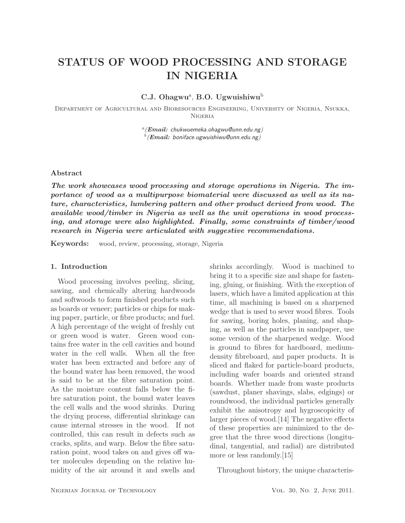# STATUS OF WOOD PROCESSING AND STORAGE IN NIGERIA

C.J. Ohagwu<sup>a</sup>, B.O. Ugwuishiwu<sup>b</sup>

Department of Agricultural and Bioresources Engineering, University of Nigeria, Nsukka, **NIGERIA** 

> a (*Email:* chukwuemeka.ohagwu@unn.edu.ng)  $\phi^{b}$  (*Email:* boniface.ugwuishiwu@unn.edu.ng)

#### Abstract

*The work showcases wood processing and storage operations in Nigeria. The importance of wood as a multipurpose biomaterial were discussed as well as its nature, characteristics, lumbering pattern and other product derived from wood. The available wood/timber in Nigeria as well as the unit operations in wood processing, and storage were also highlighted. Finally, some constraints of timber/wood research in Nigeria were articulated with suggestive recommendations.*

Keywords: wood, review, processing, storage, Nigeria

#### 1. Introduction

Wood processing involves peeling, slicing, sawing, and chemically altering hardwoods and softwoods to form finished products such as boards or veneer; particles or chips for making paper, particle, or fibre products; and fuel. A high percentage of the weight of freshly cut or green wood is water. Green wood contains free water in the cell cavities and bound water in the cell walls. When all the free water has been extracted and before any of the bound water has been removed, the wood is said to be at the fibre saturation point. As the moisture content falls below the fibre saturation point, the bound water leaves the cell walls and the wood shrinks. During the drying process, differential shrinkage can cause internal stresses in the wood. If not controlled, this can result in defects such as cracks, splits, and warp. Below the fibre saturation point, wood takes on and gives off water molecules depending on the relative humidity of the air around it and swells and

shrinks accordingly. Wood is machined to bring it to a specific size and shape for fastening, gluing, or finishing. With the exception of lasers, which have a limited application at this time, all machining is based on a sharpened wedge that is used to sever wood fibres. Tools for sawing, boring holes, planing, and shaping, as well as the particles in sandpaper, use some version of the sharpened wedge. Wood is ground to fibres for hardboard, mediumdensity fibreboard, and paper products. It is sliced and flaked for particle-board products, including wafer boards and oriented strand boards. Whether made from waste products (sawdust, planer shavings, slabs, edgings) or roundwood, the individual particles generally exhibit the anisotropy and hygroscopicity of larger pieces of wood.[14] The negative effects of these properties are minimized to the degree that the three wood directions (longitudinal, tangential, and radial) are distributed more or less randomly.[15]

Throughout history, the unique characteris-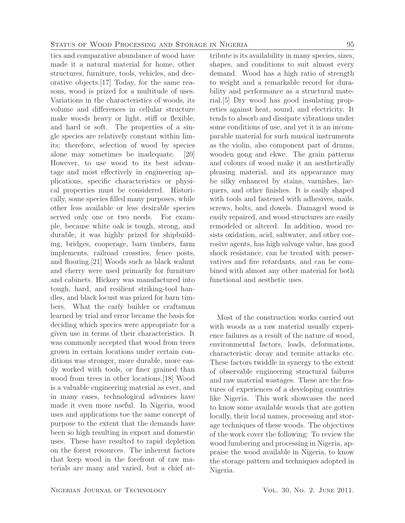tics and comparative abundance of wood have made it a natural material for home, other structures, furniture, tools, vehicles, and decorative objects.[17] Today, for the same reasons, wood is prized for a multitude of uses. Variations in the characteristics of woods, its volume and differences in cellular structure make woods heavy or light, stiff or flexible, and hard or soft. The properties of a single species are relatively constant within limits; therefore, selection of wood by species alone may sometimes be inadequate. [20] However, to use wood to its best advantage and most effectively in engineering applications, specific characteristics or physical properties must be considered. Historically, some species filled many purposes, while other less available or less desirable species served only one or two needs. For example, because white oak is tough, strong, and durable, it was highly prized for shipbuilding, bridges, cooperage, barn timbers, farm implements, railroad crossties, fence posts, and flooring.[21] Woods such as black walnut and cherry were used primarily for furniture and cabinets. Hickory was manufactured into tough, hard, and resilient striking-tool handles, and black locust was prized for barn timbers. What the early builder or craftsman learned by trial and error became the basis for deciding which species were appropriate for a given use in terms of their characteristics. It was commonly accepted that wood from trees grown in certain locations under certain conditions was stronger, more durable, more easily worked with tools, or finer grained than wood from trees in other locations.[18] Wood is a valuable engineering material as ever, and in many cases, technological advances have made it even more useful. In Nigeria, wood uses and applications toe the same concept of purpose to the extent that the demands have been so high resulting in export and domestic uses. These have resulted to rapid depletion on the forest resources. The inherent factors that keep wood in the forefront of raw materials are many and varied, but a chief at-

tribute is its availability in many species, sizes, shapes, and conditions to suit almost every demand. Wood has a high ratio of strength to weight and a remarkable record for durability and performance as a structural material.[5] Dry wood has good insulating properties against heat, sound, and electricity. It tends to absorb and dissipate vibrations under some conditions of use, and yet it is an incomparable material for such musical instruments as the violin, also component part of drums, wooden gong and ekwe. The grain patterns and colours of wood make it an aesthetically pleasing material, and its appearance may be silky enhanced by stains, varnishes, lacquers, and other finishes. It is easily shaped with tools and fastened with adhesives, nails, screws, bolts, and dowels. Damaged wood is easily repaired, and wood structures are easily remodeled or altered. In addition, wood resists oxidation, acid, saltwater, and other corrosive agents, has high salvage value, has good shock resistance, can be treated with preservatives and fire retardants, and can be combined with almost any other material for both functional and aesthetic uses.

Most of the construction works carried out with woods as a raw material usually experience failures as a result of the nature of wood, environmental factors, loads, deformations, characteristic decay and termite attacks etc. These factors twiddle in synergy to the extent of observable engineering structural failures and raw material wastages. These are the features of experiences of a developing countries like Nigeria. This work showcases the need to know some available woods that are gotten locally, their local names, processing and storage techniques of these woods. The objectives of the work cover the following: To review the wood lumbering and processing in Nigeria, appraise the wood available in Nigeria, to know the storage pattern and techniques adopted in Nigeria.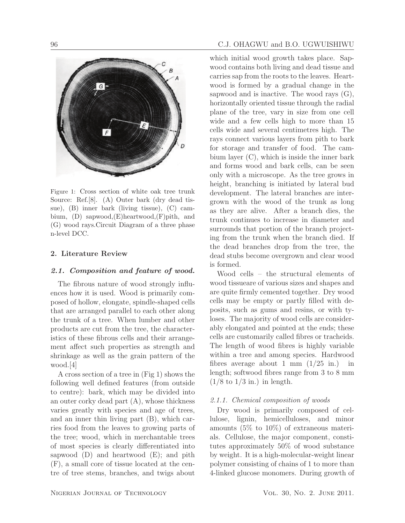

Figure 1: Cross section of white oak tree trunk Source: Ref.[8]. (A) Outer bark (dry dead tissue), (B) inner bark (living tissue), (C) cambium, (D) sapwood,(E)heartwood,(F)pith, and (G) wood rays.Circuit Diagram of a three phase n-level DCC.

#### 2. Literature Review

#### *2.1. Composition and feature of wood.*

The fibrous nature of wood strongly influences how it is used. Wood is primarily composed of hollow, elongate, spindle-shaped cells that are arranged parallel to each other along the trunk of a tree. When lumber and other products are cut from the tree, the characteristics of these fibrous cells and their arrangement affect such properties as strength and shrinkage as well as the grain pattern of the wood.[4]

A cross section of a tree in (Fig 1) shows the following well defined features (from outside to centre): bark, which may be divided into an outer corky dead part (A), whose thickness varies greatly with species and age of trees, and an inner thin living part (B), which carries food from the leaves to growing parts of the tree; wood, which in merchantable trees of most species is clearly differentiated into sapwood  $(D)$  and heartwood  $(E)$ ; and pith (F), a small core of tissue located at the centre of tree stems, branches, and twigs about

which initial wood growth takes place. Sapwood contains both living and dead tissue and carries sap from the roots to the leaves. Heartwood is formed by a gradual change in the sapwood and is inactive. The wood rays (G), horizontally oriented tissue through the radial plane of the tree, vary in size from one cell wide and a few cells high to more than 15 cells wide and several centimetres high. The rays connect various layers from pith to bark for storage and transfer of food. The cambium layer (C), which is inside the inner bark and forms wood and bark cells, can be seen only with a microscope. As the tree grows in height, branching is initiated by lateral bud development. The lateral branches are intergrown with the wood of the trunk as long as they are alive. After a branch dies, the trunk continues to increase in diameter and surrounds that portion of the branch projecting from the trunk when the branch died. If the dead branches drop from the tree, the dead stubs become overgrown and clear wood is formed.

Wood cells – the structural elements of wood tissueare of various sizes and shapes and are quite firmly cemented together. Dry wood cells may be empty or partly filled with deposits, such as gums and resins, or with tyloses. The majority of wood cells are considerably elongated and pointed at the ends; these cells are customarily called fibres or tracheids. The length of wood fibres is highly variable within a tree and among species. Hardwood fibres average about 1 mm  $(1/25 \text{ in.})$  in length; softwood fibres range from 3 to 8 mm  $(1/8 \text{ to } 1/3 \text{ in.})$  in length.

#### 2.1.1. Chemical composition of woods

Dry wood is primarily composed of cellulose, lignin, hemicelluloses, and minor amounts (5% to 10%) of extraneous materials. Cellulose, the major component, constitutes approximately 50% of wood substance by weight. It is a high-molecular-weight linear polymer consisting of chains of 1 to more than 4-linked glucose monomers. During growth of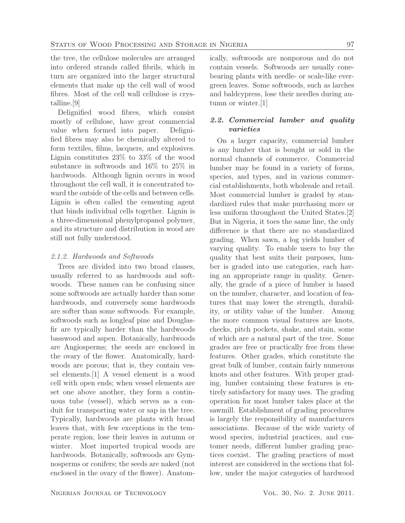the tree, the cellulose molecules are arranged into ordered strands called fibrils, which in turn are organized into the larger structural elements that make up the cell wall of wood fibres. Most of the cell wall cellulose is crystalline.[9]

Delignified wood fibres, which consist mostly of cellulose, have great commercial value when formed into paper. Delignified fibres may also be chemically altered to form textiles, films, lacquers, and explosives. Lignin constitutes 23% to 33% of the wood substance in softwoods and 16% to 25% in hardwoods. Although lignin occurs in wood throughout the cell wall, it is concentrated toward the outside of the cells and between cells. Lignin is often called the cementing agent that binds individual cells together. Lignin is a three-dimensional phenylpropanol polymer, and its structure and distribution in wood are still not fully understood.

### 2.1.2. Hardwoods and Softwoods

Trees are divided into two broad classes, usually referred to as hardwoods and softwoods. These names can be confusing since some softwoods are actually harder than some hardwoods, and conversely some hardwoods are softer than some softwoods. For example, softwoods such as longleaf pine and Douglasfir are typically harder than the hardwoods basswood and aspen. Botanically, hardwoods are Angiosperms; the seeds are enclosed in the ovary of the flower. Anatomically, hardwoods are porous; that is, they contain vessel elements.[1] A vessel element is a wood cell with open ends; when vessel elements are set one above another, they form a continuous tube (vessel), which serves as a conduit for transporting water or sap in the tree. Typically, hardwoods are plants with broad leaves that, with few exceptions in the temperate region, lose their leaves in autumn or winter. Most imported tropical woods are hardwoods. Botanically, softwoods are Gymnosperms or conifers; the seeds are naked (not enclosed in the ovary of the flower). Anatomically, softwoods are nonporous and do not contain vessels. Softwoods are usually conebearing plants with needle- or scale-like evergreen leaves. Some softwoods, such as larches and baldcypress, lose their needles during autumn or winter.[1]

# *2.2. Commercial lumber and quality varieties*

On a larger capacity, commercial lumber is any lumber that is bought or sold in the normal channels of commerce. Commercial lumber may be found in a variety of forms, species, and types, and in various commercial establishments, both wholesale and retail. Most commercial lumber is graded by standardized rules that make purchasing more or less uniform throughout the United States.[2] But in Nigeria, it toes the same line, the only difference is that there are no standardized grading. When sawn, a log yields lumber of varying quality. To enable users to buy the quality that best suits their purposes, lumber is graded into use categories, each having an appropriate range in quality. Generally, the grade of a piece of lumber is based on the number, character, and location of features that may lower the strength, durability, or utility value of the lumber. Among the more common visual features are knots, checks, pitch pockets, shake, and stain, some of which are a natural part of the tree. Some grades are free or practically free from these features. Other grades, which constitute the great bulk of lumber, contain fairly numerous knots and other features. With proper grading, lumber containing these features is entirely satisfactory for many uses. The grading operation for most lumber takes place at the sawmill. Establishment of grading procedures is largely the responsibility of manufacturers associations. Because of the wide variety of wood species, industrial practices, and customer needs, different lumber grading practices coexist. The grading practices of most interest are considered in the sections that follow, under the major categories of hardwood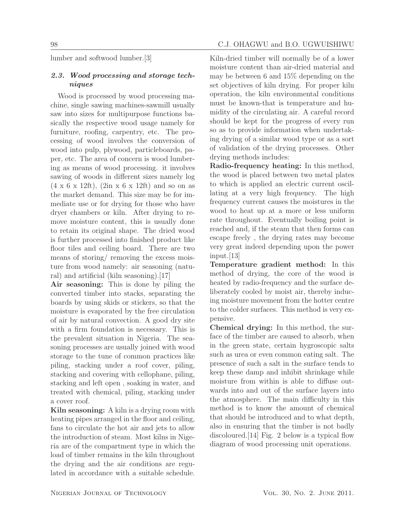# 98 C.J. OHAGWU and B.O. UGWUISHIWU

lumber and softwood lumber.[3]

### *2.3. Wood processing and storage techniques*

Wood is processed by wood processing machine, single sawing machines-sawmill usually saw into sizes for multipurpose functions basically the respective wood usage namely for furniture, roofing, carpentry, etc. The processing of wood involves the conversion of wood into pulp, plywood, particleboards, paper, etc. The area of concern is wood lumbering as means of wood processing. it involves sawing of woods in different sizes namely log (4 x 6 x 12ft), (2in x 6 x 12ft) and so on as the market demand. This size may be for immediate use or for drying for those who have dryer chambers or kiln. After drying to remove moisture content, this is usually done to retain its original shape. The dried wood is further processed into finished product like floor tiles and ceiling board. There are two means of storing/ removing the excess moisture from wood namely: air seasoning (natural) and artificial (kiln seasoning).[17]

Air seasoning: This is done by piling the converted timber into stacks, separating the boards by using skids or stickers, so that the moisture is evaporated by the free circulation of air by natural convection. A good dry site with a firm foundation is necessary. This is the prevalent situation in Nigeria. The seasoning processes are usually joined with wood storage to the tune of common practices like piling, stacking under a roof cover, piling, stacking and covering with cellophane, piling, stacking and left open , soaking in water, and treated with chemical, piling, stacking under a cover roof.

Kiln seasoning: A kiln is a drying room with heating pipes arranged in the floor and ceiling, fans to circulate the hot air and jets to allow the introduction of steam. Most kilns in Nigeria are of the compartment type in which the load of timber remains in the kiln throughout the drying and the air conditions are regulated in accordance with a suitable schedule.

Kiln-dried timber will normally be of a lower moisture content than air-dried material and may be between 6 and 15% depending on the set objectives of kiln drying. For proper kiln operation, the kiln environmental conditions must be known-that is temperature and humidity of the circulating air. A careful record should be kept for the progress of every run so as to provide information when undertaking drying of a similar wood type or as a sort of validation of the drying processes. Other drying methods includes:

Radio-frequency heating: In this method, the wood is placed between two metal plates to which is applied an electric current oscillating at a very high frequency. The high frequency current causes the moistures in the wood to heat up at a more or less uniform rate throughout. Eventually boiling point is reached and, if the steam that then forms can escape freely , the drying rates may become very great indeed depending upon the power input.[13]

Temperature gradient method: In this method of drying, the core of the wood is heated by radio-frequency and the surface deliberately cooled by moist air, thereby inducing moisture movement from the hotter centre to the colder surfaces. This method is very expensive.

Chemical drying: In this method, the surface of the timber are caused to absorb, when in the green state, certain hygroscopic salts such as urea or even common eating salt. The presence of such a salt in the surface tends to keep these damp and inhibit shrinkage while moisture from within is able to diffuse outwards into and out of the surface layers into the atmosphere. The main difficulty in this method is to know the amount of chemical that should be introduced and to what depth, also in ensuring that the timber is not badly discoloured.[14] Fig. 2 below is a typical flow diagram of wood processing unit operations.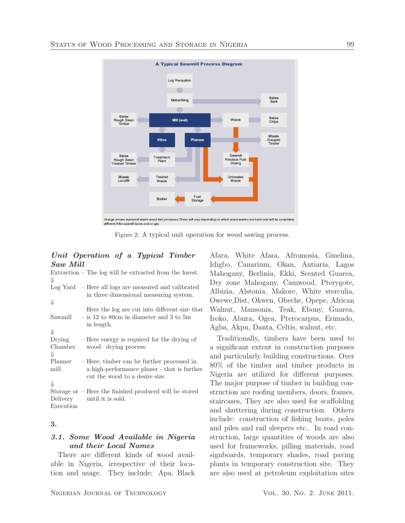

Figure 2: A typical unit operation for wood sawing process.

# *Unit Operation of a Typical Timber Saw Mill*

Extraction – The log will be extracted from the forest. ⇓ Log Yard – Here all logs are measured and calibrated in three dimensional measuring system. ⇓ Here the log are cut into different size that Sawmill – is 12 to 80cm in diameter and 3 to 5m in length. ⇓ Drying – Here energy is required for the drying of Chamber wood– drying process. ⇓ Planner – Here, timber can be further processed in mill a high-performance planer - that is further cut the wood to a desire size. ⇓ Storage or – Here the finished produced will be stored Delivery until it is sold. Execution

### 3.

# *3.1. Some Wood Available in Nigeria and their Local Names*

There are different kinds of wood available in Nigeria, irrespective of their location and usage. They include: Apa, Black

Afara, White Afara, Afromosia, Gmelina, Idigbo, Canarium, Okan, Antiaria, Lagos Mahogany, Berlinia, Ekki, Scented Guarea, Dry zone Mahogany, Camwood, Pterygote, Albizia, Alstonia, Makore, White sterculia, Owewe,Dist, Okwen, Obeche, Opepe, African Walnut, Mansonia, Teak, Ebony, Guarea, Iroko, Abura, Ogea, Pterocarpus, Erimado, Agba, Akpu, Danta, Celtis, walnut, etc.

Traditionally, timbers have been used to a significant extent in construction purposes and particularly building constructions. Over 80% of the timber and timber products in Nigeria are utilized for different purposes. The major purpose of timber in building construction are roofing members, doors, frames, staircases, They are also used for scaffolding and shuttering during construction. Others include: construction of fishing boats, poles and piles and rail sleepers etc.. In road construction, large quantities of woods are also used for frameworks, pilling materials, road signboards, temporary shades, road paving plants in temporary construction site. They are also used at petroleum exploitation sites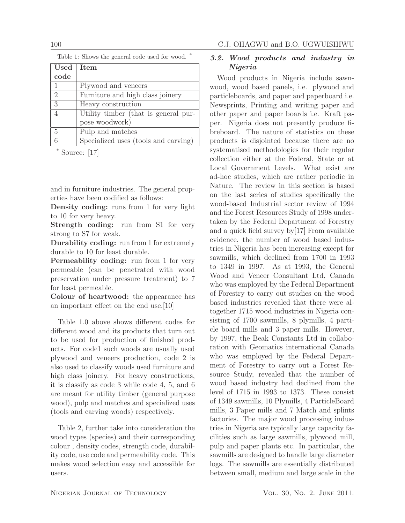| Used           | <b>Item</b>                          |
|----------------|--------------------------------------|
| code           |                                      |
| 1              | Plywood and veneers                  |
| $\overline{2}$ | Furniture and high class joinery     |
| 3              | Heavy construction                   |
| 4              | Utility timber (that is general pur- |
|                | pose woodwork)                       |
| $\frac{5}{2}$  | Pulp and matches                     |
|                | Specialized uses (tools and carving) |

Table 1: Shows the general code used for wood. \*

 $*$  Source: [17]

and in furniture industries. The general properties have been codified as follows:

Density coding: runs from 1 for very light to 10 for very heavy.

Strength coding: run from S1 for very strong to S7 for weak.

Durability coding: run from 1 for extremely durable to 10 for least durable.

Permeability coding: run from 1 for very permeable (can be penetrated with wood preservation under pressure treatment) to 7 for least permeable.

Colour of heartwood: the appearance has an important effect on the end use.[10]

Table 1.0 above shows different codes for different wood and its products that turn out to be used for production of finished products. For code1 such woods are usually used plywood and veneers production, code 2 is also used to classify woods used furniture and high class joinery. For heavy constructions, it is classify as code 3 while code 4, 5, and 6 are meant for utility timber (general purpose wood), pulp and matches and specialized uses (tools and carving woods) respectively.

Table 2, further take into consideration the wood types (species) and their corresponding colour , density codes, strength code, durability code, use code and permeability code. This makes wood selection easy and accessible for users.

# *3.2. Wood products and industry in Nigeria*

Wood products in Nigeria include sawnwood, wood based panels, i.e. plywood and particleboards, and paper and paperboard i.e. Newsprints, Printing and writing paper and other paper and paper boards i.e. Kraft paper. Nigeria does not presently produce fibreboard. The nature of statistics on these products is disjointed because there are no systematised methodologies for their regular collection either at the Federal, State or at Local Government Levels. What exist are ad-hoc studies, which are rather periodic in Nature. The review in this section is based on the last series of studies specifically the wood-based Industrial sector review of 1994 and the Forest Resources Study of 1998 undertaken by the Federal Department of Forestry and a quick field survey by[17] From available evidence, the number of wood based industries in Nigeria has been increasing except for sawmills, which declined from 1700 in 1993 to 1349 in 1997. As at 1993, the General Wood and Veneer Consultant Ltd, Canada who was employed by the Federal Department of Forestry to carry out studies on the wood based industries revealed that there were altogether 1715 wood industries in Nigeria consisting of 1700 sawmills, 8 plymills, 4 particle board mills and 3 paper mills. However, by 1997, the Beak Constants Ltd in collaboration with Geomatics international Canada who was employed by the Federal Department of Forestry to carry out a Forest Resource Study, revealed that the number of wood based industry had declined from the level of 1715 in 1993 to 1373. These consist of 1349 sawmills, 10 Plymills, 4 ParticleBoard mills, 3 Paper mills and 7 Match and splints factories. The major wood processing industries in Nigeria are typically large capacity facilities such as large sawmills, plywood mill, pulp and paper plants etc. In particular, the sawmills are designed to handle large diameter logs. The sawmills are essentially distributed between small, medium and large scale in the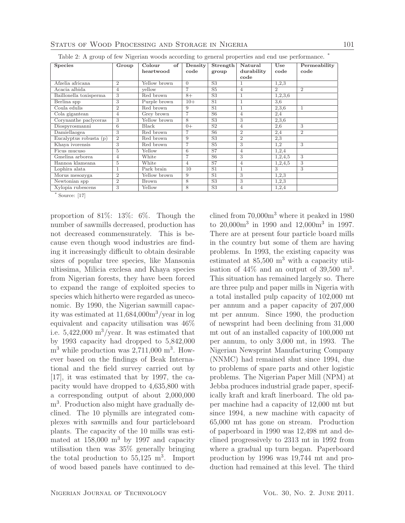| <b>Species</b>           | Group          | Colour<br>of | Density        | Strength       | Natural        | Use            | Permeability   |
|--------------------------|----------------|--------------|----------------|----------------|----------------|----------------|----------------|
|                          |                | heartwood    | code           | group          | durability     | code           | code           |
|                          |                |              |                |                | code           |                |                |
| Afzelia africana         | $\overline{2}$ | Yellow brown | $\Omega$       | S3             |                | 1,2,3          |                |
| Acacia albida            | $\overline{4}$ | yellow       | $\overline{7}$ | S5             | $\overline{4}$ | $\mathfrak{D}$ | $\overline{2}$ |
| Baillonella toxisperma   | 3              | Red brown    | $8+$           | S <sub>3</sub> | 1              | 1,2,3,6        |                |
| Berlina spp              | 3              | Purple brown | $10+$          | S <sub>1</sub> | $\mathbf{1}$   | 3.6            |                |
| Coula edulis             | $\overline{2}$ | Red brown    | 9              | S <sub>1</sub> |                | 2,3,6          | $\mathbf{1}$   |
| Cola gigantean           | $\overline{4}$ | Grey brown   | $\overline{7}$ | S <sub>6</sub> | $\overline{4}$ | 2,4            |                |
| Corynanthe paclyceras    | 3              | Yellow brown | $\mathbf{8}$   | S <sub>3</sub> | 3              | 2,3,6          |                |
| Diospyrosmanni           | 6              | Black        | $0+$           | S <sub>2</sub> | $\overline{4}$ | 2,6            | 3              |
| Damiellaogea             | 3              | Red brown    | 7              | S <sub>6</sub> | $\overline{2}$ | 2,4            | $\overline{2}$ |
| Eucalyptus robusta $(p)$ | $\overline{2}$ | Red brown    | 9              | S3             | $\overline{2}$ | 2,3            |                |
| Khaya ivorensis          | 3              | Red brown    | $\overline{7}$ | S5             | 3              | 1,2            | 3              |
| Ficus mucuso             | 5              | Yellow       | 6              | S7             | $\overline{4}$ | 1,2,4          |                |
| Gmelina arborea          | $\overline{4}$ | White        | $\overline{7}$ | S <sub>6</sub> | 3              | 1,2,4,5        | 3              |
| Hannoa klameana          | 5              | White        | $\overline{4}$ | S7             | $\overline{4}$ | 1,2,4,5        | 3              |
| Lophira alata            | $\mathbf{1}$   | Park brain   | 10             | S <sub>1</sub> | $\mathbf{1}$   | 3              | 3              |
| Morus mesozyga           | $\overline{2}$ | Yellow brown | 9              | S <sub>1</sub> | 3              | 1,2,3          |                |
| Newtonian spp            | $\overline{2}$ | <b>Brown</b> | 8              | S3             | 3              | 1,2,3          |                |
| Xylopia rubescens        | 3              | Yellow       | 8              | S3             | $\overline{4}$ | 1,2,4          |                |

| Table 2: A group of few Nigerian woods according to general properties and end use performance. |  |  |  |  |  |  |  |
|-------------------------------------------------------------------------------------------------|--|--|--|--|--|--|--|
|                                                                                                 |  |  |  |  |  |  |  |

\* Source: [17]

proportion of 81%: 13%: 6%. Though the number of sawmills decreased, production has not decreased commensurately. This is because even though wood industries are finding it increasingly difficult to obtain desirable sizes of popular tree species, like Mansonia ultissima, Milicia exclesa and Khaya species from Nigerian forests, they have been forced to expand the range of exploited species to species which hitherto were regarded as uneconomic. By 1990, the Nigerian sawmill capacity was estimated at 11,684,000m<sup>3</sup>/year in log equivalent and capacity utilisation was 46% i.e.  $5,422,000 \text{ m}^3/\text{year}$ . It was estimated that by 1993 capacity had dropped to 5,842,000  $\text{m}^3$  while production was  $2{,}711{,}000 \text{ m}^3$ . However based on the findings of Beak International and the field survey carried out by [17], it was estimated that by 1997, the capacity would have dropped to 4,635,800 with a corresponding output of about 2,000,000 m<sup>3</sup> . Production also might have gradually declined. The 10 plymills are integrated complexes with sawmills and four particleboard plants. The capacity of the 10 mills was estimated at  $158,000 \text{ m}^3$  by 1997 and capacity utilisation then was 35% generally bringing the total production to  $55,125 \text{ m}^3$ . Import of wood based panels have continued to declined from 70,000m<sup>3</sup> where it peaked in 1980 to  $20,000m^3$  in 1990 and  $12,000m^3$  in 1997. There are at present four particle board mills in the country but some of them are having problems. In 1993, the existing capacity was estimated at  $85{,}500$  m<sup>3</sup> with a capacity utilisation of  $44\%$  and an output of  $39,500 \text{ m}^3$ . This situation has remained largely so. There are three pulp and paper mills in Nigeria with a total installed pulp capacity of 102,000 mt per annum and a paper capacity of 207,000 mt per annum. Since 1990, the production of newsprint had been declining from 31,000 mt out of an installed capacity of 100,000 mt per annum, to only 3,000 mt, in 1993. The Nigerian Newsprint Manufacturing Company (NNMC) had remained shut since 1994, due to problems of spare parts and other logistic problems. The Nigerian Paper Mill (NPM) at Jebba produces industrial grade paper, specifically kraft and kraft linerboard. The old paper machine had a capacity of 12,000 mt but since 1994, a new machine with capacity of 65,000 mt has gone on stream. Production of paperboard in 1990 was 12,498 mt and declined progressively to 2313 mt in 1992 from where a gradual up turn began. Paperboard production by 1996 was 19,744 mt and production had remained at this level. The third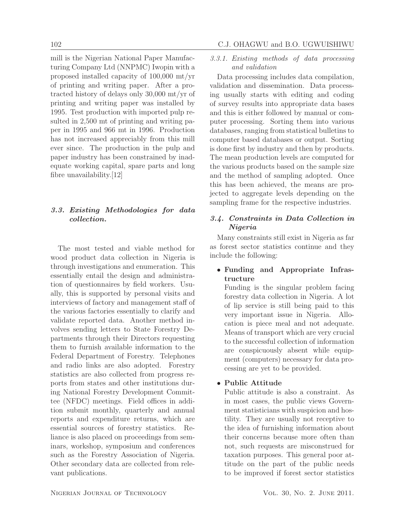mill is the Nigerian National Paper Manufacturing Company Ltd (NNPMC) Iwopin with a proposed installed capacity of 100,000 mt/yr of printing and writing paper. After a protracted history of delays only 30,000 mt/yr of printing and writing paper was installed by 1995. Test production with imported pulp resulted in 2,500 mt of printing and writing paper in 1995 and 966 mt in 1996. Production has not increased appreciably from this mill ever since. The production in the pulp and paper industry has been constrained by inadequate working capital, spare parts and long fibre unavailability.[12]

# *3.3. Existing Methodologies for data collection.*

The most tested and viable method for wood product data collection in Nigeria is through investigations and enumeration. This essentially entail the design and administration of questionnaires by field workers. Usually, this is supported by personal visits and interviews of factory and management staff of the various factories essentially to clarify and validate reported data. Another method involves sending letters to State Forestry Departments through their Directors requesting them to furnish available information to the Federal Department of Forestry. Telephones and radio links are also adopted. Forestry statistics are also collected from progress reports from states and other institutions during National Forestry Development Committee (NFDC) meetings. Field offices in addition submit monthly, quarterly and annual reports and expenditure returns, which are essential sources of forestry statistics. Reliance is also placed on proceedings from seminars, workshop, symposium and conferences such as the Forestry Association of Nigeria. Other secondary data are collected from relevant publications.

# 102 C.J. OHAGWU and B.O. UGWUISHIWU

# 3.3.1. Existing methods of data processing and validation

Data processing includes data compilation, validation and dissemination. Data processing usually starts with editing and coding of survey results into appropriate data bases and this is either followed by manual or computer processing. Sorting them into various databases, ranging from statistical bulletins to computer based databases or output. Sorting is done first by industry and then by products. The mean production levels are computed for the various products based on the sample size and the method of sampling adopted. Once this has been achieved, the means are projected to aggregate levels depending on the sampling frame for the respective industries.

# *3.4. Constraints in Data Collection in Nigeria*

Many constraints still exist in Nigeria as far as forest sector statistics continue and they include the following:

# • Funding and Appropriate Infrastructure

Funding is the singular problem facing forestry data collection in Nigeria. A lot of lip service is still being paid to this very important issue in Nigeria. Allocation is piece meal and not adequate. Means of transport which are very crucial to the successful collection of information are conspicuously absent while equipment (computers) necessary for data processing are yet to be provided.

# • Public Attitude

Public attitude is also a constraint. As in most cases, the public views Government statisticians with suspicion and hostility. They are usually not receptive to the idea of furnishing information about their concerns because more often than not, such requests are misconstrued for taxation purposes. This general poor attitude on the part of the public needs to be improved if forest sector statistics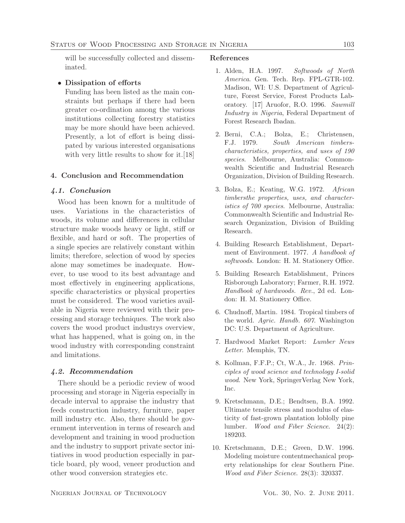will be successfully collected and disseminated.

#### References

- 1. Alden, H.A. 1997. Softwoods of North America. Gen. Tech. Rep. FPL-GTR-102. Madison, WI: U.S. Department of Agriculture, Forest Service, Forest Products Laboratory. [17] Aruofor, R.O. 1996. Sawmill Industry in Nigeria, Federal Department of Forest Research Ibadan.
- 2. Berni, C.A.; Bolza, E.; Christensen, F.J. 1979. South American timberscharacteristics, properties, and uses of 190 species. Melbourne, Australia: Commonwealth Scientific and Industrial Research Organization, Division of Building Research.
- 3. Bolza, E.; Keating, W.G. 1972. African timbersthe properties, uses, and characteristics of 700 species. Melbourne, Australia: Commonwealth Scientific and Industrial Research Organization, Division of Building Research.
- 4. Building Research Establishment, Department of Environment. 1977. A handbook of softwoods. London: H. M. Stationery Office.
- 5. Building Research Establishment, Princes Risborough Laboratory; Farmer, R.H. 1972. Handbook of hardwoods. Rev., 2d ed. London: H. M. Stationery Office.
- 6. Chudnoff, Martin. 1984. Tropical timbers of the world. Agric. Handb. 607. Washington DC: U.S. Department of Agriculture.
- 7. Hardwood Market Report: Lumber News Letter. Memphis, TN.
- 8. Kollman, F.F.P.; Ct, W.A., Jr. 1968. Principles of wood science and technology I-solid wood. New York, SpringerVerlag New York, Inc.
- 9. Kretschmann, D.E.; Bendtsen, B.A. 1992. Ultimate tensile stress and modulus of elasticity of fast-grown plantation loblolly pine lumber. Wood and Fiber Science. 24(2): 189203.
- 10. Kretschmann, D.E.; Green, D.W. 1996. Modeling moisture contentmechanical property relationships for clear Southern Pine. Wood and Fiber Science. 28(3): 320337.

### • Dissipation of efforts

Funding has been listed as the main constraints but perhaps if there had been greater co-ordination among the various institutions collecting forestry statistics may be more should have been achieved. Presently, a lot of effort is being dissipated by various interested organisations with very little results to show for it. [18]

### 4. Conclusion and Recommendation

### *4.1. Conclusion*

Wood has been known for a multitude of uses. Variations in the characteristics of woods, its volume and differences in cellular structure make woods heavy or light, stiff or flexible, and hard or soft. The properties of a single species are relatively constant within limits; therefore, selection of wood by species alone may sometimes be inadequate. However, to use wood to its best advantage and most effectively in engineering applications, specific characteristics or physical properties must be considered. The wood varieties available in Nigeria were reviewed with their processing and storage techniques. The work also covers the wood product industrys overview, what has happened, what is going on, in the wood industry with corresponding constraint and limitations.

### *4.2. Recommendation*

There should be a periodic review of wood processing and storage in Nigeria especially in decade interval to appraise the industry that feeds construction industry, furniture, paper mill industry etc. Also, there should be government intervention in terms of research and development and training in wood production and the industry to support private sector initiatives in wood production especially in particle board, ply wood, veneer production and other wood conversion strategies etc.

NIGERIAN JOURNAL OF TECHNOLOGY VOL. 30, NO. 2. JUNE 2011.